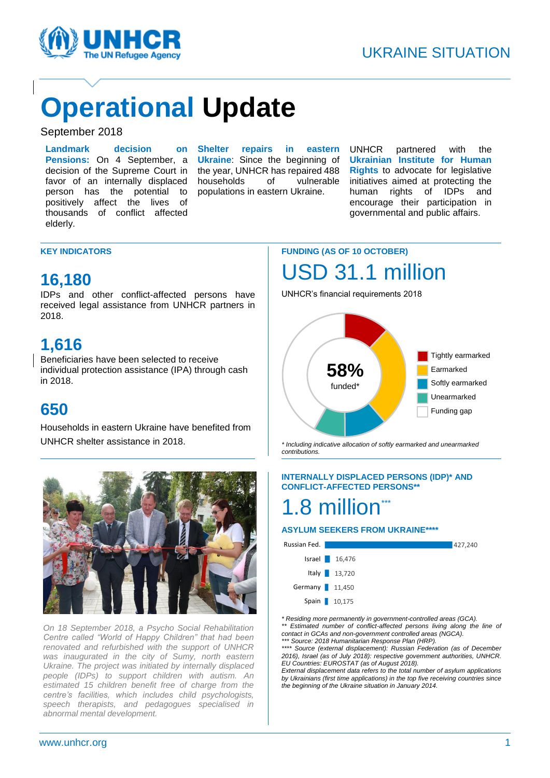

# **Operational Update**

#### September 2018

**Landmark decision on Pensions:** On 4 September, a decision of the Supreme Court in favor of an internally displaced person has the potential to positively affect the lives of thousands of conflict affected elderly.

**Shelter repairs in eastern Ukraine**: Since the beginning of the year, UNHCR has repaired 488 households of vulnerable populations in eastern Ukraine.

UNHCR partnered with the **Ukrainian Institute for Human Rights** to advocate for legislative initiatives aimed at protecting the human rights of IDPs and encourage their participation in governmental and public affairs.

#### **KEY INDICATORS**

### **16,180**

IDPs and other conflict-affected persons have received legal assistance from UNHCR partners in 2018.

## **1,616**

Beneficiaries have been selected to receive individual protection assistance (IPA) through cash in 2018.

## **650**

Households in eastern Ukraine have benefited from UNHCR shelter assistance in 2018.



*On 18 September 2018, a Psycho Social Rehabilitation Centre called "World of Happy Children" that had been renovated and refurbished with the support of UNHCR was inaugurated in the city of Sumy, north eastern Ukraine. The project was initiated by internally displaced people (IDPs) to support children with autism. An estimated 15 children benefit free of charge from the centre's facilities, which includes child psychologists, speech therapists, and pedagogues specialised in abnormal mental development.*

## **FUNDING (AS OF 10 OCTOBER)** USD 31.1 million

UNHCR's financial requirements 2018



*\* Including indicative allocation of softly earmarked and unearmarked contributions.*

#### **INTERNALLY DISPLACED PERSONS (IDP)\* AND CONFLICT-AFFECTED PERSONS\*\***

## 1.8 million\*\*\*

#### **ASYLUM SEEKERS FROM UKRAINE\*\*\*\***



*\* Residing more permanently in government-controlled areas (GCA). \*\* Estimated number of conflict-affected persons living along the line of contact in GCAs and non-government controlled areas (NGCA). \*\*\* Source: 2018 Humanitarian Response Plan (HRP).*

*\*\*\*\* Source (external displacement): Russian Federation (as of December 2016), Israel (as of July 2018): respective government authorities, UNHCR. EU Countries: EUROSTAT (as of August 2018).* 

*External displacement data refers to the total number of asylum applications by Ukrainians (first time applications) in the top five receiving countries since the beginning of the Ukraine situation in January 2014.*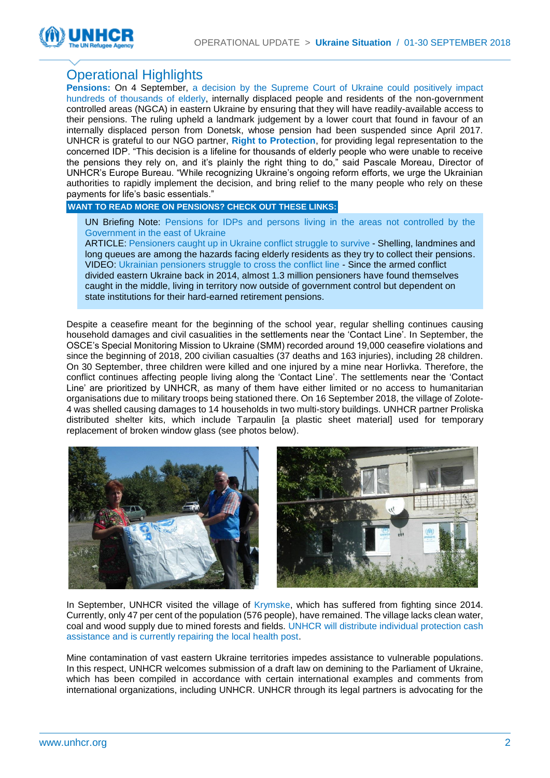

### Operational Highlights

**Pensions:** On 4 September, a decision by the Supreme Court of Ukraine could positively impact hundreds of thousands of elderly, internally displaced people and residents of the non-government controlled areas (NGCA) in eastern Ukraine by ensuring that they will have readily-available access to their pensions. The ruling upheld a landmark judgement by a lower court that found in favour of an internally displaced person from Donetsk, whose pension had been suspended since April 2017. UNHCR is grateful to our NGO partner, **Right to Protection**, for providing legal representation to the concerned IDP. "This decision is a lifeline for thousands of elderly people who were unable to receive the pensions they rely on, and it's plainly the right thing to do," said Pascale Moreau, Director of UNHCR's Europe Bureau. "While recognizing Ukraine's ongoing reform efforts, we urge the Ukrainian authorities to rapidly implement the decision, and bring relief to the many people who rely on these payments for life's basic essentials."

#### **WANT TO READ MORE ON PENSIONS? CHECK OUT THESE LINKS:**

UN Briefing Note: [Pensions for IDPs and persons living in the areas not controlled by the](https://www.humanitarianresponse.info/sites/www.humanitarianresponse.info/files/documents/files/briefing_note_on_pensions_updated_24_july_2018.pdf)  [Government in the east of Ukraine](https://www.humanitarianresponse.info/sites/www.humanitarianresponse.info/files/documents/files/briefing_note_on_pensions_updated_24_july_2018.pdf)

ARTICLE[: Pensioners caught up in Ukraine conflict struggle to](http://www.unhcr.org/ua/en/11076-pensioners-caught-ukraine-conflict-struggle-survive.html) [survive](http://www.unhcr.org/ua/en/11076-pensioners-caught-ukraine-conflict-struggle-survive.html) - Shelling, landmines and long queues are among the hazards facing elderly residents as they try to collect their pensions. VIDEO: [Ukrainian pensioners struggle to cross the conflict line](http://www.unhcr.org/ua/en/11093-ukrainian-pensioners-struggle-cross-conflict-line.html) - Since the armed conflict divided eastern Ukraine back in 2014, almost 1.3 million pensioners have found themselves caught in the middle, living in territory now outside of government control but dependent on state institutions for their hard-earned retirement pensions.

Despite a ceasefire meant for the beginning of the school year, regular shelling continues causing household damages and civil casualities in the settlements near the 'Contact Line'. In September, the OSCE's Special Monitoring Mission to Ukraine (SMM) recorded around 19,000 ceasefire violations and since the beginning of 2018, 200 civilian casualties (37 deaths and 163 injuries), including 28 children. On 30 September, three children were killed and one injured by a mine near Horlivka. Therefore, the conflict continues affecting people living along the 'Contact Line'. The settlements near the 'Contact Line' are prioritized by UNHCR, as many of them have either limited or no access to humanitarian organisations due to military troops being stationed there. On 16 September 2018, the village of Zolote-4 was shelled causing damages to 14 households in two multi-story buildings. UNHCR partner Proliska distributed shelter kits, which include Tarpaulin [a plastic sheet material] used for temporary replacement of broken window glass (see photos below).





In September, UNHCR visited the village of Krymske, which has suffered from fighting since 2014. Currently, only 47 per cent of the population (576 people), have remained. The village lacks clean water, coal and wood supply due to mined forests and fields. UNHCR will distribute individual protection cash assistance and is currently repairing the local health post.

Mine contamination of vast eastern Ukraine territories impedes assistance to vulnerable populations. In this respect, UNHCR welcomes submission of a draft law on demining to the Parliament of Ukraine, which has been compiled in accordance with certain international examples and comments from international organizations, including UNHCR. UNHCR through its legal partners is advocating for the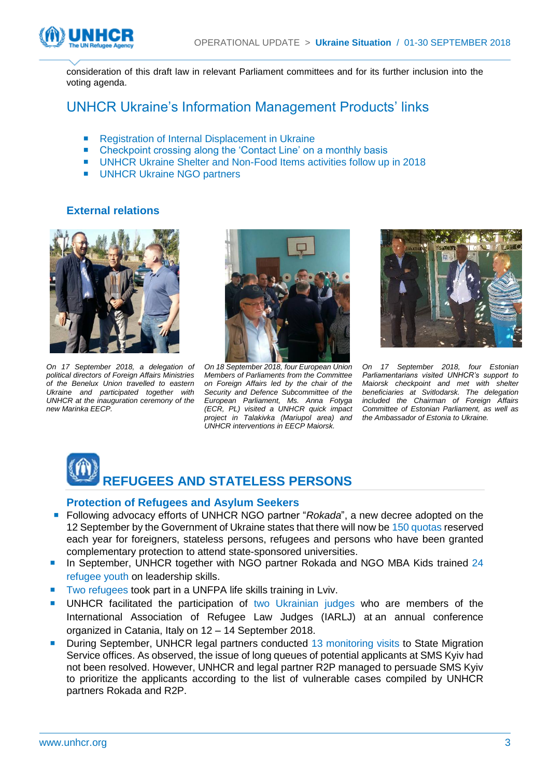

consideration of this draft law in relevant Parliament committees and for its further inclusion into the voting agenda.

### UNHCR Ukraine's Information Management Products' links

- [Registration of Internal Displacement in Ukraine](https://app.powerbi.com/view?r=eyJrIjoiZDU3MDEyNDgtZWNhNy00ODBmLWI0ZDYtMmJiZDQyMzExZGJkIiwidCI6ImU1YzM3OTgxLTY2NjQtNDEzNC04YTBjLTY1NDNkMmFmODBiZSIsImMiOjh9)
- [Checkpoint crossing along the 'Contact Line' on a monthly basis](https://app.powerbi.com/view?r=eyJrIjoiNzgwZjBkMjgtOTNjYy00MjIzLTkzYWQtYjUxYzc3N2M5MjA5IiwidCI6ImU1YzM3OTgxLTY2NjQtNDEzNC04YTBjLTY1NDNkMmFmODBiZSIsImMiOjh9)
- [UNHCR Ukraine Shelter and Non-Food Items activities follow up in 2018](https://app.powerbi.com/view?r=eyJrIjoiNzY2NWQwNTEtMzE0ZS00MTBkLTk2NzAtMWEyNzdjMzIwNmM3IiwidCI6ImU1YzM3OTgxLTY2NjQtNDEzNC04YTBjLTY1NDNkMmFmODBiZSIsImMiOjh9)
- [UNHCR Ukraine NGO partners](https://app.powerbi.com/view?r=eyJrIjoiYTE1MzgwYWItMmU5OS00NWE3LTk2YzgtOTcwMGVkMWFiNDg5IiwidCI6IjdhNTE3MDMzLTE1ZGYtNDQ1MC04ZjMyLWE5ODJmZTBhYTEyNSIsImMiOjh9)

#### **External relations**



*On 17 September 2018, a delegation of political directors of Foreign Affairs Ministries of the Benelux Union travelled to eastern Ukraine and participated together with UNHCR at the inauguration ceremony of the new Marinka EECP.* 



*On 18 September 2018, four European Union Members of Parliaments from the Committee on Foreign Affairs led by the chair of the Security and Defence Subcommittee of the European Parliament, Ms. Anna Fotyga (ECR, PL) visited a UNHCR quick impact project in Talakivka (Mariupol area) and UNHCR interventions in EECP Maiorsk.*



*On 17 September 2018, four Estonian Parliamentarians visited UNHCR's support to Maiorsk checkpoint and met with shelter beneficiaries at Svitlodarsk. The delegation included the Chairman of Foreign Affairs Committee of Estonian Parliament, as well as the Ambassador of Estonia to Ukraine.*



#### **Protection of Refugees and Asylum Seekers**

- Following advocacy efforts of UNHCR NGO partner "*Rokada*", a new decree adopted on the 12 September by the Government of Ukraine states that there will now be 150 quotas reserved each year for foreigners, stateless persons, refugees and persons who have been granted complementary protection to attend state-sponsored universities.
- In September, UNHCR together with NGO partner Rokada and NGO MBA Kids trained 24 refugee youth on leadership skills.
- Two refugees took part in a UNFPA life skills training in Lviv.
- UNHCR facilitated the participation of two Ukrainian judges who are members of the International Association of Refugee Law Judges (IARLJ) at an annual conference organized in Catania, Italy on 12 – 14 September 2018.
- During September, UNHCR legal partners conducted 13 monitoring visits to State Migration Service offices. As observed, the issue of long queues of potential applicants at SMS Kyiv had not been resolved. However, UNHCR and legal partner R2P managed to persuade SMS Kyiv to prioritize the applicants according to the list of vulnerable cases compiled by UNHCR partners Rokada and R2P.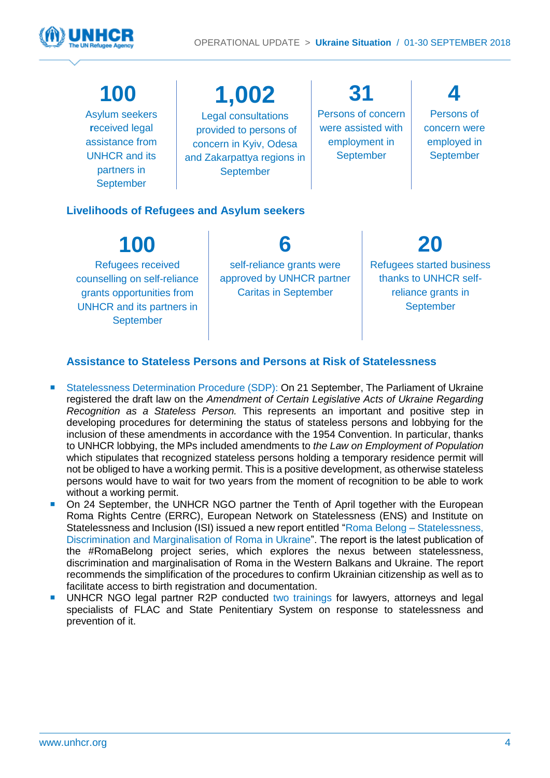

## **100**

Asylum seekers **r**eceived legal assistance from UNHCR and its partners in **September** 

**1,002** Legal consultations provided to persons of concern in Kyiv, Odesa and Zakarpattya regions in September

**31** Persons of concern were assisted with employment in September

**4** Persons of concern were employed in **September** 

#### **Livelihoods of Refugees and Asylum seekers**

**100** Refugees received counselling on self-reliance grants opportunities from UNHCR and its partners in September **6** self-reliance grants were approved by UNHCR partner Caritas in September

**20**

Refugees started business thanks to UNHCR selfreliance grants in September

#### **Assistance to Stateless Persons and Persons at Risk of Statelessness**

- Statelessness Determination Procedure (SDP): On 21 September, The Parliament of Ukraine registered the draft law on the *Amendment of Certain Legislative Acts of Ukraine Regarding Recognition as a Stateless Person.* This represents an important and positive step in developing procedures for determining the status of stateless persons and lobbying for the inclusion of these amendments in accordance with the 1954 Convention. In particular, thanks to UNHCR lobbying, the MPs included amendments to *the Law on Employment of Population*  which stipulates that recognized stateless persons holding a temporary residence permit will not be obliged to have a working permit. This is a positive development, as otherwise stateless persons would have to wait for two years from the moment of recognition to be able to work without a working permit.
- On 24 September, the UNHCR NGO partner the Tenth of April together with the European Roma Rights Centre (ERRC), European Network on Statelessness (ENS) and Institute on Statelessness and Inclusion (ISI) issued a new report entitled ["Roma Belong –](http://www.errc.org/reports-and-submissions/roma-belong--discrimination-statelessness-and-marginalisation-of-roma-in-the-western-balkans-and-ukraine) Statelessness, [Discrimination and Marginalisation of Roma in Ukraine"](http://www.errc.org/reports-and-submissions/roma-belong--discrimination-statelessness-and-marginalisation-of-roma-in-the-western-balkans-and-ukraine). The report is the latest publication of the [#RomaBelong project](https://statelessness.us5.list-manage.com/track/click?u=ecc598c976cc2766b4407fce3&id=f43c5ef9d8&e=f313c5a6a5) series, which explores the nexus between statelessness, discrimination and marginalisation of Roma in the Western Balkans and Ukraine. The report recommends the simplification of the procedures to confirm Ukrainian citizenship as well as to facilitate access to birth registration and documentation.
- UNHCR NGO legal partner R2P conducted two trainings for lawyers, attorneys and legal specialists of FLAC and State Penitentiary System on response to statelessness and prevention of it.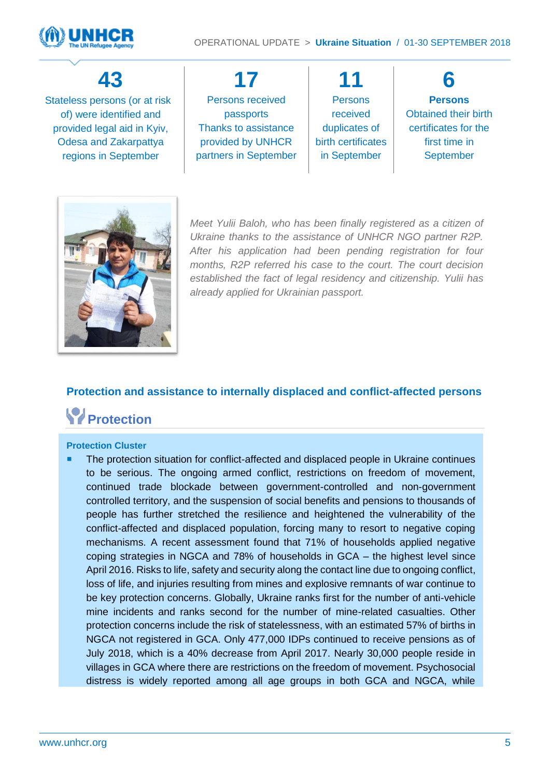



## **43**

Stateless persons (or at risk of) were identified and provided legal aid in Kyiv, Odesa and Zakarpattya regions in September

**17** Persons received passports Thanks to assistance provided by UNHCR partners in September

**11 Persons** received duplicates of birth certificates in September

**6 Persons** Obtained their birth certificates for the first time in **September** 



*Meet Yulii Baloh, who has been finally registered as a citizen of Ukraine thanks to the assistance of UNHCR NGO partner R2P. After his application had been pending registration for four months, R2P referred his case to the court. The court decision established the fact of legal residency and citizenship. Yulii has already applied for Ukrainian passport.*

### **Protection and assistance to internally displaced and conflict-affected persons**

## **Protection**

#### **Protection Cluster**

 The protection situation for conflict-affected and displaced people in Ukraine continues to be serious. The ongoing armed conflict, restrictions on freedom of movement, continued trade blockade between government-controlled and non-government controlled territory, and the suspension of social benefits and pensions to thousands of people has further stretched the resilience and heightened the vulnerability of the conflict-affected and displaced population, forcing many to resort to negative coping mechanisms. A recent assessment found that 71% of households applied negative coping strategies in NGCA and 78% of households in GCA – the highest level since April 2016. Risks to life, safety and security along the contact line due to ongoing conflict, loss of life, and injuries resulting from mines and explosive remnants of war continue to be key protection concerns. Globally, Ukraine ranks first for the number of anti-vehicle mine incidents and ranks second for the number of mine-related casualties. Other protection concerns include the risk of statelessness, with an estimated 57% of births in NGCA not registered in GCA. Only 477,000 IDPs continued to receive pensions as of July 2018, which is a 40% decrease from April 2017. Nearly 30,000 people reside in villages in GCA where there are restrictions on the freedom of movement. Psychosocial distress is widely reported among all age groups in both GCA and NGCA, while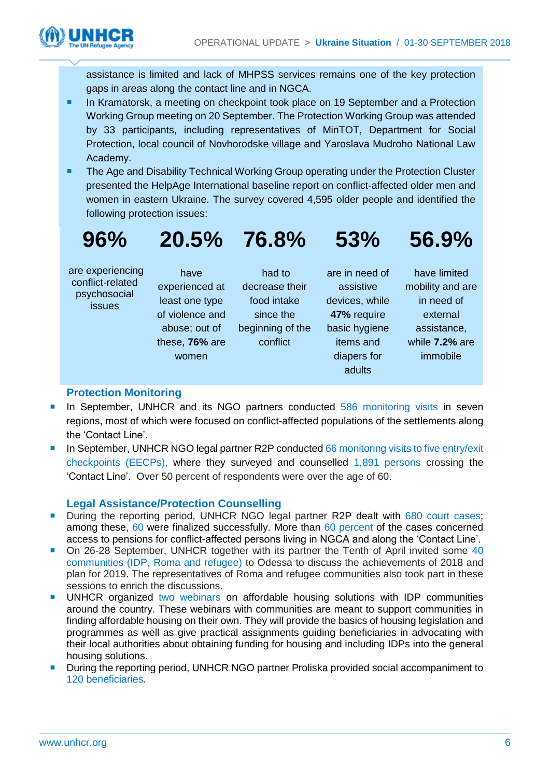

assistance is limited and lack of MHPSS services remains one of the key protection gaps in areas along the contact line and in NGCA.

- **In Kramatorsk, a meeting on checkpoint took place on 19 September and a Protection** Working Group meeting on 20 September. The Protection Working Group was attended by 33 participants, including representatives of MinTOT, Department for Social Protection, local council of Novhorodske village and Yaroslava Mudroho National Law Academy.
- **The Age and Disability Technical Working Group operating under the Protection Cluster** presented the HelpAge International baseline report on conflict-affected older men and women in eastern Ukraine. The survey covered 4,595 older people and identified the following protection issues:

**20.5% 76.8%**

## **96%**

are experiencing conflict-related psychosocial issues

have experienced at least one type of violence and abuse; out of these, **76%** are women

had to decrease their food intake since the beginning of the conflict

are in need of assistive devices, while **47%** require basic hygiene items and diapers for adults

**53%**

have limited mobility and are in need of external assistance, while **7.2%** are immobile

**56.9%**

#### **Protection Monitoring**

- In September, UNHCR and its NGO partners conducted 586 monitoring visits in seven regions, most of which were focused on conflict-affected populations of the settlements along the 'Contact Line'.
- In September, UNHCR NGO legal partner R2P conducted 66 monitoring visits to five entry/exit checkpoints (EECPs), where they surveyed and counselled 1,891 persons crossing the 'Contact Line'. Over 50 percent of respondents were over the age of 60.

#### **Legal Assistance/Protection Counselling**

- During the reporting period, UNHCR NGO legal partner R2P dealt with 680 court cases; among these, 60 were finalized successfully. More than 60 percent of the cases concerned access to pensions for conflict-affected persons living in NGCA and along the 'Contact Line'.
- On 26-28 September, UNHCR together with its partner the Tenth of April invited some 40 communities (IDP, Roma and refugee) to Odessa to discuss the achievements of 2018 and plan for 2019. The representatives of Roma and refugee communities also took part in these sessions to enrich the discussions.
- UNHCR organized two webinars on affordable housing solutions with IDP communities around the country. These webinars with communities are meant to support communities in finding affordable housing on their own. They will provide the basics of housing legislation and programmes as well as give practical assignments guiding beneficiaries in advocating with their local authorities about obtaining funding for housing and including IDPs into the general housing solutions.
- During the reporting period, UNHCR NGO partner Proliska provided social accompaniment to 120 beneficiaries.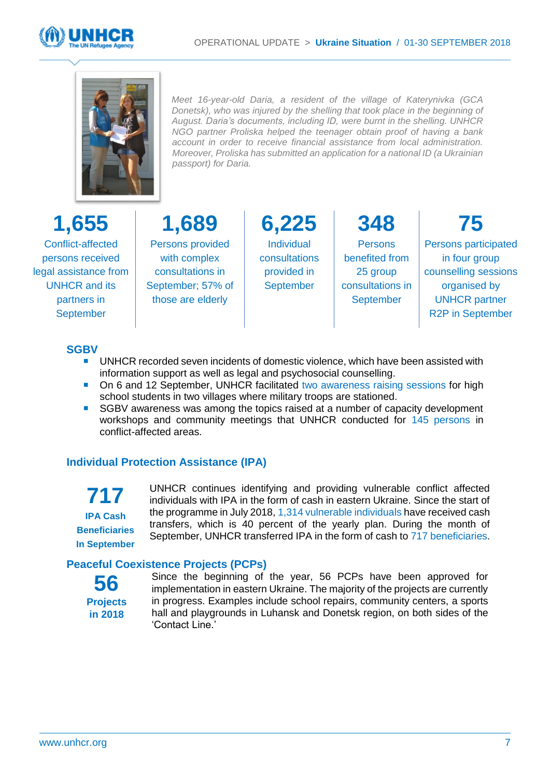



*Meet 16-year-old Daria, a resident of the village of Katerynivka (GCA Donetsk), who was injured by the shelling that took place in the beginning of August. Daria's documents, including ID, were burnt in the shelling. UNHCR NGO partner Proliska helped the teenager obtain proof of having a bank account in order to receive financial assistance from local administration. Moreover, Proliska has submitted an application for a national ID (a Ukrainian passport) for Daria.* 

## **1,655**

Conflict-affected persons received legal assistance from UNHCR and its partners in September

**1,689** Persons provided

with complex consultations in September; 57% of those are elderly

**6,225** Individual consultations provided in September

**348 Persons** benefited from 25 group consultations in **September** 

**75** Persons participated in four group counselling sessions organised by UNHCR partner R2P in September

#### **SGBV**

- UNHCR recorded seven incidents of domestic violence, which have been assisted with information support as well as legal and psychosocial counselling.
- On 6 and 12 September, UNHCR facilitated two awareness raising sessions for high school students in two villages where military troops are stationed.
- SGBV awareness was among the topics raised at a number of capacity development workshops and community meetings that UNHCR conducted for 145 persons in conflict-affected areas.

#### **Individual Protection Assistance (IPA)**

**717 IPA Cash Beneficiaries In September** UNHCR continues identifying and providing vulnerable conflict affected individuals with IPA in the form of cash in eastern Ukraine. Since the start of the programme in July 2018, 1,314 vulnerable individuals have received cash transfers, which is 40 percent of the yearly plan. During the month of September, UNHCR transferred IPA in the form of cash to 717 beneficiaries.

#### **Peaceful Coexistence Projects (PCPs)**

**56 Projects in 2018**

Since the beginning of the year, 56 PCPs have been approved for implementation in eastern Ukraine. The majority of the projects are currently in progress. Examples include school repairs, community centers, a sports hall and playgrounds in Luhansk and Donetsk region, on both sides of the 'Contact Line.'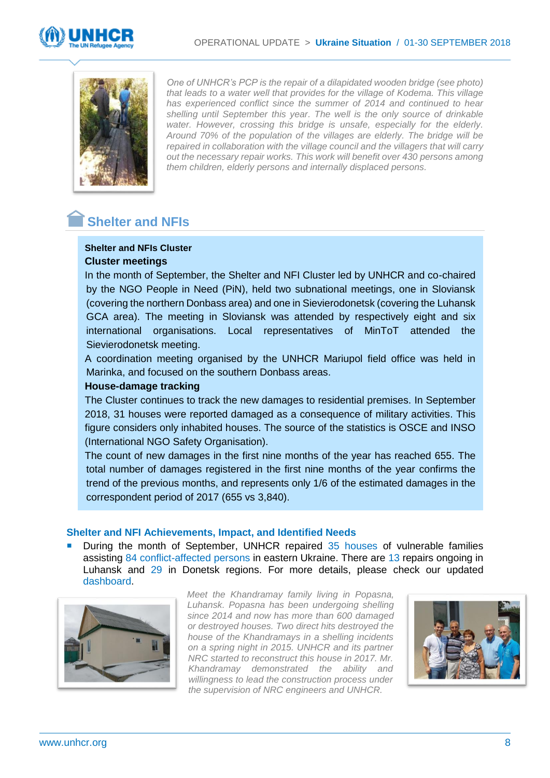



*One of UNHCR's PCP is the repair of a dilapidated wooden bridge (see photo) that leads to a water well that provides for the village of Kodema. This village has experienced conflict since the summer of 2014 and continued to hear shelling until September this year. The well is the only source of drinkable water. However, crossing this bridge is unsafe, especially for the elderly. Around 70% of the population of the villages are elderly. The bridge will be repaired in collaboration with the village council and the villagers that will carry out the necessary repair works. This work will benefit over 430 persons among them children, elderly persons and internally displaced persons.*

### **Shelter and NFIs**

#### **Shelter and NFIs Cluster Cluster meetings**

In the month of September, the Shelter and NFI Cluster led by UNHCR and co-chaired by the NGO People in Need (PiN), held two subnational meetings, one in Sloviansk (covering the northern Donbass area) and one in Sievierodonetsk (covering the Luhansk GCA area). The meeting in Sloviansk was attended by respectively eight and six international organisations. Local representatives of MinToT attended the Sievierodonetsk meeting.

A coordination meeting organised by the UNHCR Mariupol field office was held in Marinka, and focused on the southern Donbass areas.

#### **House-damage tracking**

The Cluster continues to track the new damages to residential premises. In September 2018, 31 houses were reported damaged as a consequence of military activities. This figure considers only inhabited houses. The source of the statistics is OSCE and INSO (International NGO Safety Organisation).

The count of new damages in the first nine months of the year has reached 655. The total number of damages registered in the first nine months of the year confirms the trend of the previous months, and represents only 1/6 of the estimated damages in the correspondent period of 2017 (655 vs 3,840).

#### **Shelter and NFI Achievements, Impact, and Identified Needs**

 During the month of September, UNHCR repaired 35 houses of vulnerable families assisting 84 conflict-affected persons in eastern Ukraine. There are 13 repairs ongoing in Luhansk and 29 in Donetsk regions. For more details, please check our updated [dashboard.](https://app.powerbi.com/view?r=eyJrIjoiNzY2NWQwNTEtMzE0ZS00MTBkLTk2NzAtMWEyNzdjMzIwNmM3IiwidCI6ImU1YzM3OTgxLTY2NjQtNDEzNC04YTBjLTY1NDNkMmFmODBiZSIsImMiOjh9)



*Meet the Khandramay family living in Popasna, Luhansk. Popasna has been undergoing shelling since 2014 and now has more than 600 damaged or destroyed houses. Two direct hits destroyed the house of the Khandramays in a shelling incidents on a spring night in 2015. UNHCR and its partner NRC started to reconstruct this house in 2017. Mr. Khandramay demonstrated the ability and willingness to lead the construction process under the supervision of NRC engineers and UNHCR.*